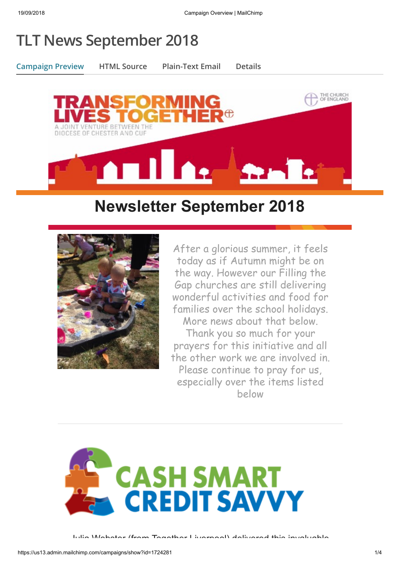## **TLT News September 2018**

**Campaign Preview HTML Source Plain-Text Email Details**



## **Newsletter September 2018**



After a glorious summer, it feels today as if Autumn might be on the way. However our Filling the Gap churches are still delivering wonderful activities and food for families over the school holidays. More news about that below. Thank you so much for your prayers for this initiative and all the other work we are involved in. Please continue to pray for us, especially over the items listed below

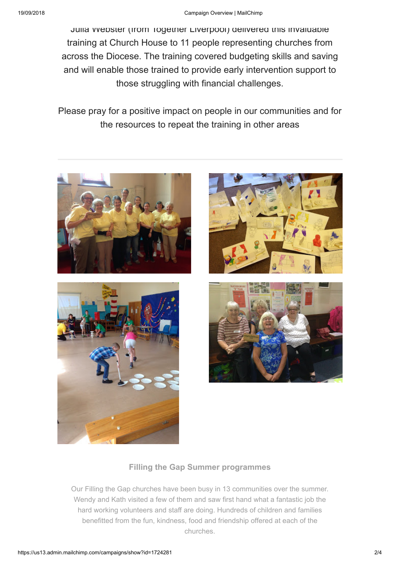Julia Webster (from Together Liverpool) delivered this invaluable training at Church House to 11 people representing churches from across the Diocese. The training covered budgeting skills and saving and will enable those trained to provide early intervention support to those struggling with financial challenges.

Please pray for a positive impact on people in our communities and for the resources to repeat the training in other areas









## **Filling the Gap Summer programmes**

Our Filling the Gap churches have been busy in 13 communities over the summer. Wendy and Kath visited a few of them and saw first hand what a fantastic job the hard working volunteers and staff are doing. Hundreds of children and families benefitted from the fun, kindness, food and friendship offered at each of the churches.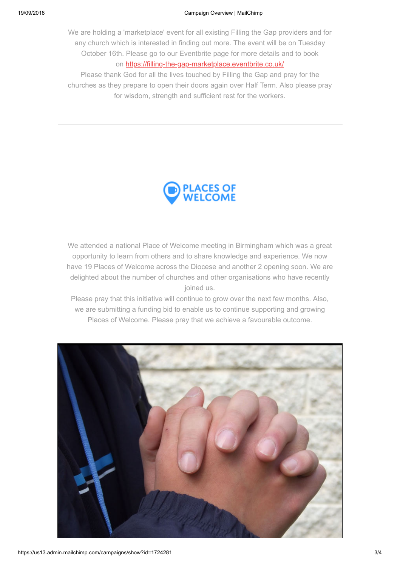We are holding a 'marketplace' event for all existing Filling the Gap providers and for any church which is interested in finding out more. The event will be on Tuesday October 16th. Please go to our Eventbrite page for more details and to book on<https://filling-the-gap-marketplace.eventbrite.co.uk/>

Please thank God for all the lives touched by Filling the Gap and pray for the churches as they prepare to open their doors again over Half Term. Also please pray for wisdom, strength and sufficient rest for the workers.



We attended a national Place of Welcome meeting in Birmingham which was a great opportunity to learn from others and to share knowledge and experience. We now have 19 Places of Welcome across the Diocese and another 2 opening soon. We are delighted about the number of churches and other organisations who have recently joined us.

Please pray that this initiative will continue to grow over the next few months. Also, we are submitting a funding bid to enable us to continue supporting and growing Places of Welcome. Please pray that we achieve a favourable outcome.